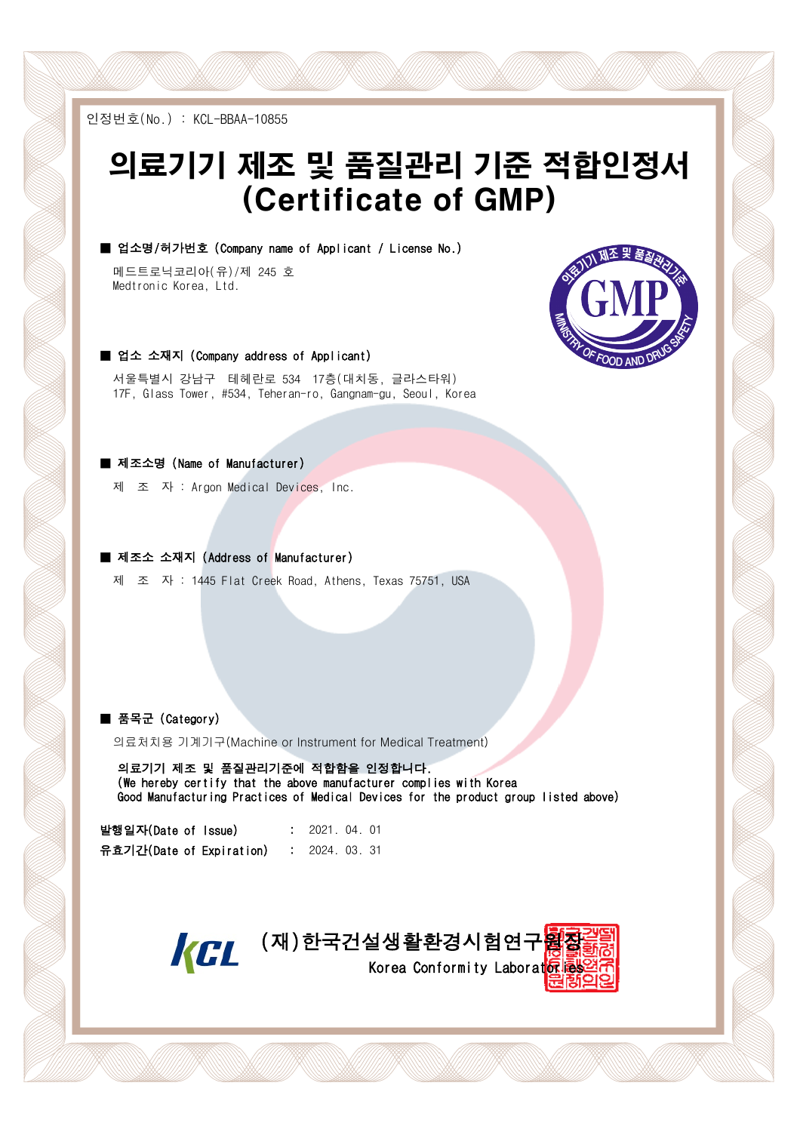인정번호(No.) : KCL-BBAA-10855

# 의료기기 제조 및 품질관리 기준 적합인정서 (Certificate of GMP)

■ 업소명/허가번호 (Company name of Applicant / License No.)

메드트로닉코리아(유)/제 245 호 Medtronic Korea, Ltd.



서울특별시 강남구 테헤란로 534 17층(대치동, 글라스타워) 17F, Glass Tower, #534, Teheran-ro, Gangnam-gu, Seoul, Korea

#### ■ 제조소명 (Name of Manufacturer)

제 조 자 : Argon Medical Devices, Inc.

■ 제조소 소재지 (Address of Manufacturer)

제 조 자 : 1445 Flat Creek Road, Athens, Texas 75751, USA

#### ■ 품목군 (Category)

의료처치용 기계기구(Machine or Instrument for Medical Treatment)

 의료기기 제조 및 품질관리기준에 적합함을 인정합니다. (We hereby certify that the above manufacturer complies with Korea Good Manufacturing Practices of Medical Devices for the product group listed above)

| 발행일자(Date of Issue)      |  | : 2021.04.01 |  |
|--------------------------|--|--------------|--|
| 유효기간(Date of Expiration) |  | 2024.03.31   |  |



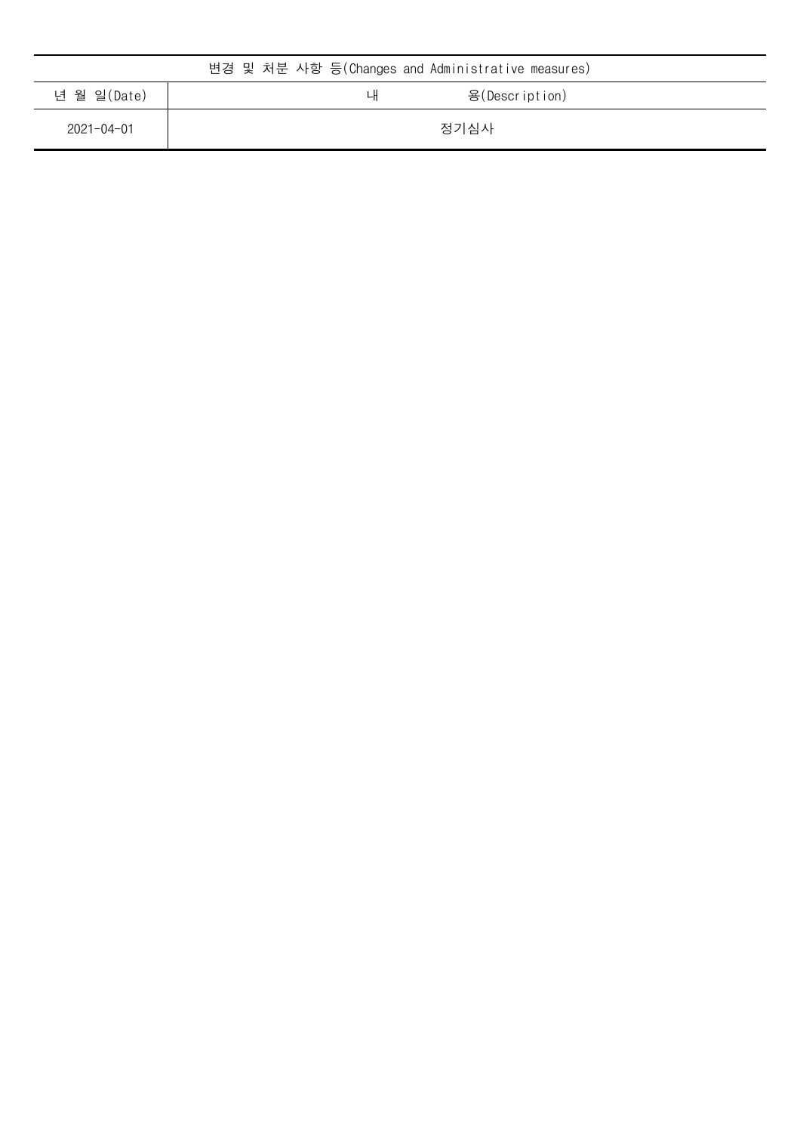| 변경 및 처분 사항 등(Changes and Administrative measures) |                      |  |  |  |
|---------------------------------------------------|----------------------|--|--|--|
| 년 월 일(Date)                                       | 용(Description)<br>LH |  |  |  |
| $2021 - 04 - 01$                                  | 정기심사                 |  |  |  |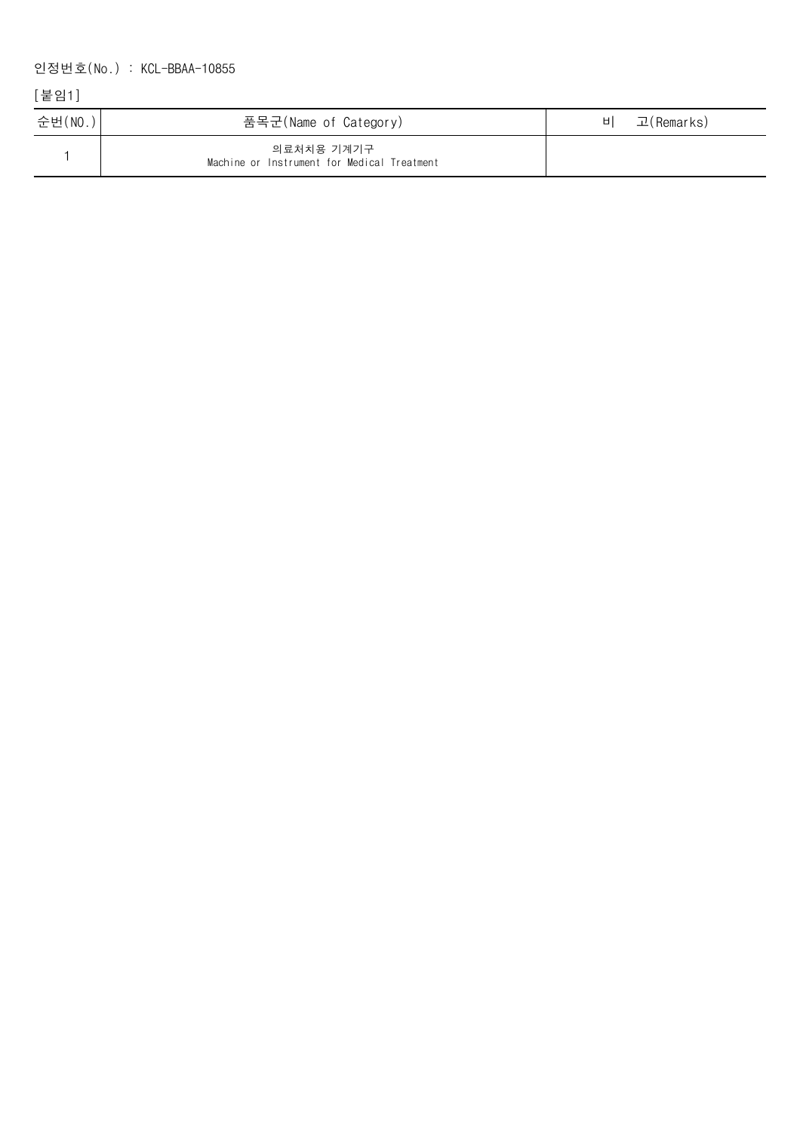## 인정번호(No.) : KCL-BBAA-10855

## [붙임1]

| 순번(NO.) | 품목군(Name of Category)                                     | НI | 고(Remarks) |
|---------|-----------------------------------------------------------|----|------------|
|         | 의료처치용 기계기구<br>Machine or Instrument for Medical Treatment |    |            |